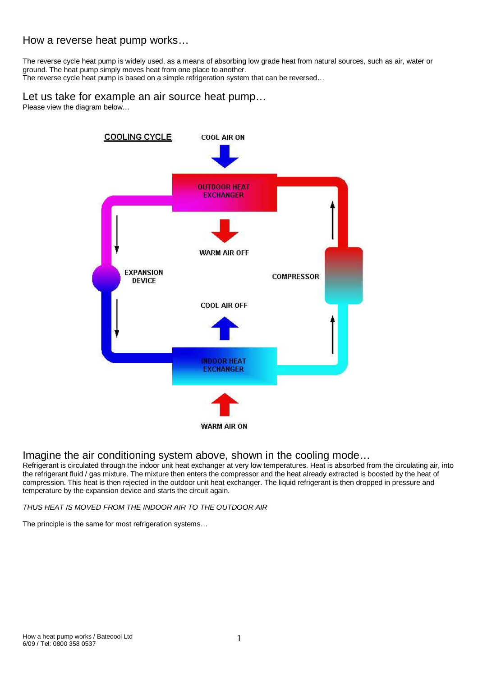### How a reverse heat pump works…

The reverse cycle heat pump is widely used, as a means of absorbing low grade heat from natural sources, such as air, water or ground. The heat pump simply moves heat from one place to another. The reverse cycle heat pump is based on a simple refrigeration system that can be reversed…

### Let us take for example an air source heat pump…

Please view the diagram below...



# Imagine the air conditioning system above, shown in the cooling mode…

Refrigerant is circulated through the indoor unit heat exchanger at very low temperatures. Heat is absorbed from the circulating air, into the refrigerant fluid / gas mixture. The mixture then enters the compressor and the heat already extracted is boosted by the heat of compression. This heat is then rejected in the outdoor unit heat exchanger. The liquid refrigerant is then dropped in pressure and temperature by the expansion device and starts the circuit again.

THUS HEAT IS MOVED FROM THE INDOOR AIR TO THE OUTDOOR AIR

The principle is the same for most refrigeration systems…